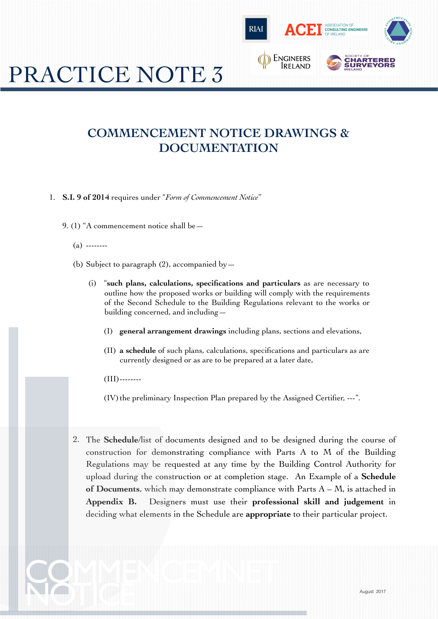

# PRACTICE NOTE 3

### **COMMENCEMENT NOTICE DRAWINGS & DOCUMENTATION**

1. **S.I. 9 of 2014** requires under "*Form of Commencement Notice*"

9. (1) "A commencement notice shall be—

- (a) --------
- (b) Subject to paragraph  $(2)$ , accompanied by  $-$ 
	- (i) "**such plans, calculations, specifications and particulars** as are necessary to outline how the proposed works or building will comply with the requirements of the Second Schedule to the Building Regulations relevant to the works or building concerned, and including—
		- (I) **general arrangement drawings** including plans, sections and elevations,
		- (II) **a schedule** of such plans, calculations, specifications and particulars as are currently designed or as are to be prepared at a later date,
		- $(III)$ --------

(IV) the preliminary Inspection Plan prepared by the Assigned Certifier, ---".

2. The **Schedule**/list of documents designed and to be designed during the course of construction for demonstrating compliance with Parts A to M of the Building Regulations may be requested at any time by the Building Control Authority for upload during the construction or at completion stage. An Example of a **Schedule of Documents**, which may demonstrate compliance with Parts A – M, is attached in **Appendix B.** Designers must use their **professional skill and judgement** in deciding what elements in the Schedule are **appropriate** to their particular project.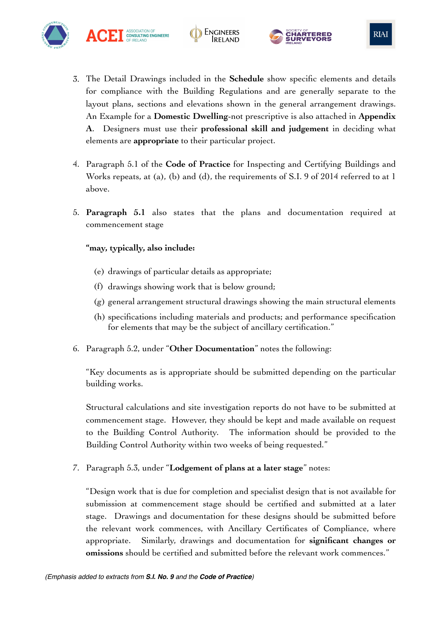

3. The Detail Drawings included in the **Schedule** show specific elements and details for compliance with the Building Regulations and are generally separate to the layout plans, sections and elevations shown in the general arrangement drawings. An Example for a **Domestic Dwelling**-not prescriptive is also attached in **Appendix A**. Designers must use their **professional skill and judgement** in deciding what elements are **appropriate** to their particular project.

**ENGINEERS** 

- 4. Paragraph 5.1 of the **Code of Practice** for Inspecting and Certifying Buildings and Works repeats, at (a), (b) and (d), the requirements of S.I. 9 of 2014 referred to at 1 above.
- 5. **Paragraph 5.1** also states that the plans and documentation required at commencement stage

#### **"may, typically, also include:**

ASSOCIATION OF<br>CONSULTING ENGINEERS

- (e) drawings of particular details as appropriate;
- (f) drawings showing work that is below ground;
- (g) general arrangement structural drawings showing the main structural elements
- (h) specifications including materials and products; and performance specification for elements that may be the subject of ancillary certification."
- 6. Paragraph 5.2, under "**Other Documentation**" notes the following:

"Key documents as is appropriate should be submitted depending on the particular building works.

Structural calculations and site investigation reports do not have to be submitted at commencement stage. However, they should be kept and made available on request to the Building Control Authority. The information should be provided to the Building Control Authority within two weeks of being requested."

7. Paragraph 5.3, under "**Lodgement of plans at a later stage**" notes:

"Design work that is due for completion and specialist design that is not available for submission at commencement stage should be certified and submitted at a later stage. Drawings and documentation for these designs should be submitted before the relevant work commences, with Ancillary Certificates of Compliance, where appropriate. Similarly, drawings and documentation for **significant changes or omissions** should be certified and submitted before the relevant work commences."



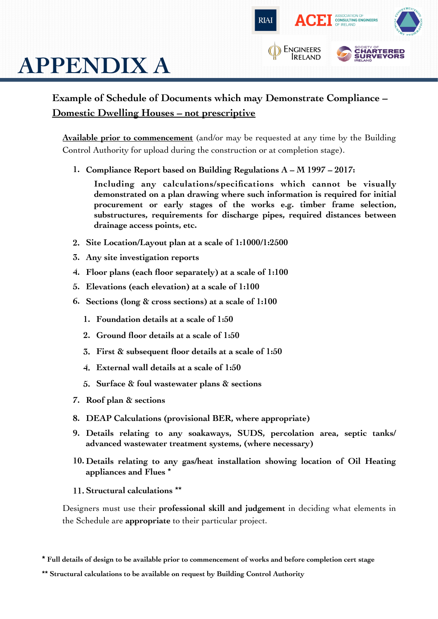

# **APPENDIX A**

#### **Example of Schedule of Documents which may Demonstrate Compliance – Domestic Dwelling Houses – not prescriptive**

**Available prior to commencement** (and/or may be requested at any time by the Building Control Authority for upload during the construction or at completion stage).

**1. Compliance Report based on Building Regulations A – M 1997 – 2017:**

**Including any calculations/specifications which cannot be visually demonstrated on a plan drawing where such information is required for initial procurement or early stages of the works e.g. timber frame selection, substructures, requirements for discharge pipes, required distances between drainage access points, etc.**

- **2. Site Location/Layout plan at a scale of 1:1000/1:2500**
- **3. Any site investigation reports**
- **4. Floor plans (each floor separately) at a scale of 1:100**
- **5. Elevations (each elevation) at a scale of 1:100**
- **6. Sections (long & cross sections) at a scale of 1:100**
	- **1. Foundation details at a scale of 1:50**
	- **2. Ground floor details at a scale of 1:50**
	- **3. First & subsequent floor details at a scale of 1:50**
	- **4. External wall details at a scale of 1:50**
	- **5. Surface & foul wastewater plans & sections**
- **7. Roof plan & sections**
- **8. DEAP Calculations (provisional BER, where appropriate)**
- **9. Details relating to any soakaways, SUDS, percolation area, septic tanks/ advanced wastewater treatment systems, (where necessary)**
- **10. Details relating to any gas/heat installation showing location of Oil Heating appliances and Flues** \*
- **11. Structural calculations** \*\*

Designers must use their **professional skill and judgement** in deciding what elements in the Schedule are **appropriate** to their particular project.

**\* Full details of design to be available prior to commencement of works and before completion cert stage** 

**<sup>\*\*</sup> Structural calculations to be available on request by Building Control Authority**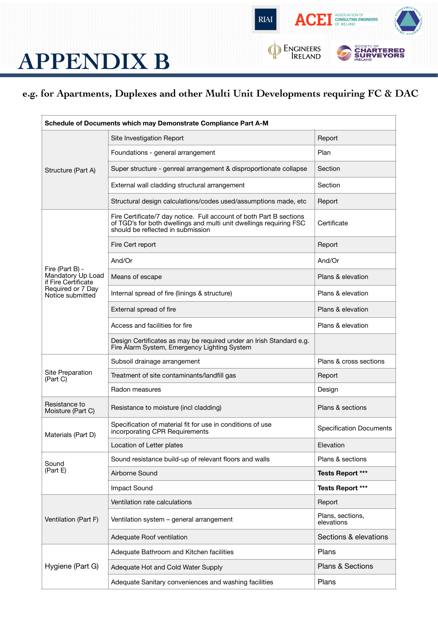

### **APPENDIX B**

#### **e.g. for Apartments, Duplexes and other Multi Unit Developments requiring FC & DAC**

| Schedule of Documents which may Demonstrate Compliance Part A-M                                      |                                                                                                                                                                                |                                |  |
|------------------------------------------------------------------------------------------------------|--------------------------------------------------------------------------------------------------------------------------------------------------------------------------------|--------------------------------|--|
| Structure (Part A)                                                                                   | Site Investigation Report                                                                                                                                                      | Report                         |  |
|                                                                                                      | Foundations - general arrangement                                                                                                                                              | Plan                           |  |
|                                                                                                      | Super structure - genreal arrangement & disproportionate collapse                                                                                                              | Section                        |  |
|                                                                                                      | External wall cladding structural arrangement                                                                                                                                  | Section                        |  |
|                                                                                                      | Structural design calculations/codes used/assumptions made, etc                                                                                                                | Report                         |  |
| Fire (Part B) -<br>Mandatory Up Load<br>if Fire Certificate<br>Required or 7 Day<br>Notice submitted | Fire Certificate/7 day notice. Full account of both Part B sections<br>of TGD's for both dwellings and multi unit dwellings requiring FSC<br>should be reflected in submission | Certificate                    |  |
|                                                                                                      | Fire Cert report                                                                                                                                                               | Report                         |  |
|                                                                                                      | And/Or                                                                                                                                                                         | And/Or                         |  |
|                                                                                                      | Means of escape                                                                                                                                                                | Plans & elevation              |  |
|                                                                                                      | Internal spread of fire (linings & structure)                                                                                                                                  | Plans & elevation              |  |
|                                                                                                      | External spread of fire                                                                                                                                                        | Plans & elevation              |  |
|                                                                                                      | Access and facilities for fire                                                                                                                                                 | Plans & elevation              |  |
|                                                                                                      | Design Certificates as may be required under an Irish Standard e.g.<br>Fire Alarm System, Emergency Lighting System                                                            |                                |  |
| Site Preparation<br>(Part C)                                                                         | Subsoil drainage arrangement                                                                                                                                                   | Plans & cross sections         |  |
|                                                                                                      | Treatment of site contaminants/landfill gas                                                                                                                                    | Report                         |  |
|                                                                                                      | Radon measures                                                                                                                                                                 | Design                         |  |
| Resistance to<br>Moisture (Part C)                                                                   | Resistance to moisture (incl cladding)                                                                                                                                         | Plans & sections               |  |
| Materials (Part D)                                                                                   | Specification of material fit for use in conditions of use<br>incorporating CPR Requirements                                                                                   | <b>Specification Documents</b> |  |
|                                                                                                      | Location of Letter plates                                                                                                                                                      | Elevation                      |  |
| Sound<br>(Part E)                                                                                    | Sound resistance build-up of relevant floors and walls                                                                                                                         | Plans & sections               |  |
|                                                                                                      | Airborne Sound                                                                                                                                                                 | <b>Tests Report ***</b>        |  |
|                                                                                                      | Impact Sound                                                                                                                                                                   | <b>Tests Report ***</b>        |  |
| Ventilation (Part F)                                                                                 | Ventilation rate calculations                                                                                                                                                  | Report                         |  |
|                                                                                                      | Ventilation system - general arrangement                                                                                                                                       | Plans, sections,<br>elevations |  |
|                                                                                                      | Adequate Roof ventilation                                                                                                                                                      | Sections & elevations          |  |
| Hygiene (Part G)                                                                                     | Adequate Bathroom and Kitchen facilities                                                                                                                                       | Plans                          |  |
|                                                                                                      | Adequate Hot and Cold Water Supply                                                                                                                                             | Plans & Sections               |  |
|                                                                                                      | Adequate Sanitary conveniences and washing facilities                                                                                                                          | Plans                          |  |